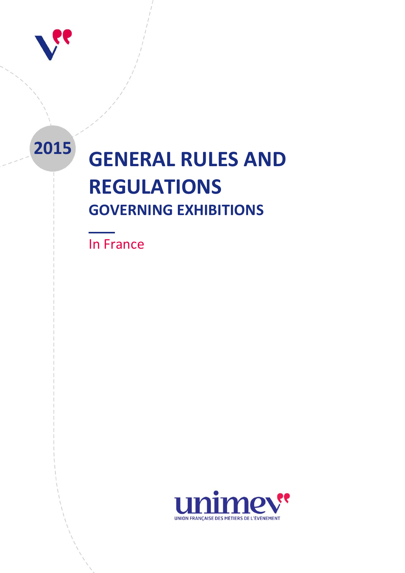

# **<sup>2015</sup> GENERAL RULES AND REGULATIONS GOVERNING EXHIBITIONS**

**UNIMEV -** GENERAL RULES AND REGULATIONS GOVERNING EXHIBITIONS **1**

In France

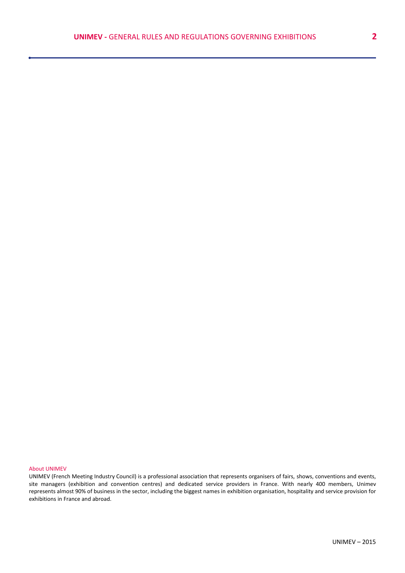#### About UNIMEV

UNIMEV (French Meeting Industry Council) is a professional association that represents organisers of fairs, shows, conventions and events, site managers (exhibition and convention centres) and dedicated service providers in France. With nearly 400 members, Unimev represents almost 90% of business in the sector, including the biggest names in exhibition organisation, hospitality and service provision for exhibitions in France and abroad.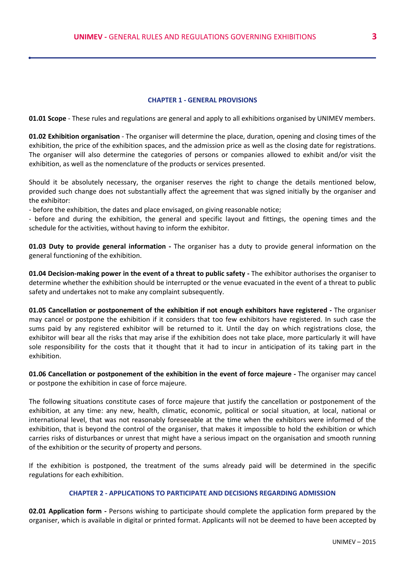#### **CHAPTER 1 - GENERAL PROVISIONS**

**01.01 Scope** - These rules and regulations are general and apply to all exhibitions organised by UNIMEV members.

**01.02 Exhibition organisation** - The organiser will determine the place, duration, opening and closing times of the exhibition, the price of the exhibition spaces, and the admission price as well as the closing date for registrations. The organiser will also determine the categories of persons or companies allowed to exhibit and/or visit the exhibition, as well as the nomenclature of the products or services presented.

Should it be absolutely necessary, the organiser reserves the right to change the details mentioned below, provided such change does not substantially affect the agreement that was signed initially by the organiser and the exhibitor:

- before the exhibition, the dates and place envisaged, on giving reasonable notice;

- before and during the exhibition, the general and specific layout and fittings, the opening times and the schedule for the activities, without having to inform the exhibitor.

**01.03 Duty to provide general information -** The organiser has a duty to provide general information on the general functioning of the exhibition.

**01.04 Decision-making power in the event of a threat to public safety -** The exhibitor authorises the organiser to determine whether the exhibition should be interrupted or the venue evacuated in the event of a threat to public safety and undertakes not to make any complaint subsequently.

**01.05 Cancellation or postponement of the exhibition if not enough exhibitors have registered -** The organiser may cancel or postpone the exhibition if it considers that too few exhibitors have registered. In such case the sums paid by any registered exhibitor will be returned to it. Until the day on which registrations close, the exhibitor will bear all the risks that may arise if the exhibition does not take place, more particularly it will have sole responsibility for the costs that it thought that it had to incur in anticipation of its taking part in the exhibition.

**01.06 Cancellation or postponement of the exhibition in the event of force majeure -** The organiser may cancel or postpone the exhibition in case of force majeure.

The following situations constitute cases of force majeure that justify the cancellation or postponement of the exhibition, at any time: any new, health, climatic, economic, political or social situation, at local, national or international level, that was not reasonably foreseeable at the time when the exhibitors were informed of the exhibition, that is beyond the control of the organiser, that makes it impossible to hold the exhibition or which carries risks of disturbances or unrest that might have a serious impact on the organisation and smooth running of the exhibition or the security of property and persons.

If the exhibition is postponed, the treatment of the sums already paid will be determined in the specific regulations for each exhibition.

#### **CHAPTER 2 - APPLICATIONS TO PARTICIPATE AND DECISIONS REGARDING ADMISSION**

**02.01 Application form -** Persons wishing to participate should complete the application form prepared by the organiser, which is available in digital or printed format. Applicants will not be deemed to have been accepted by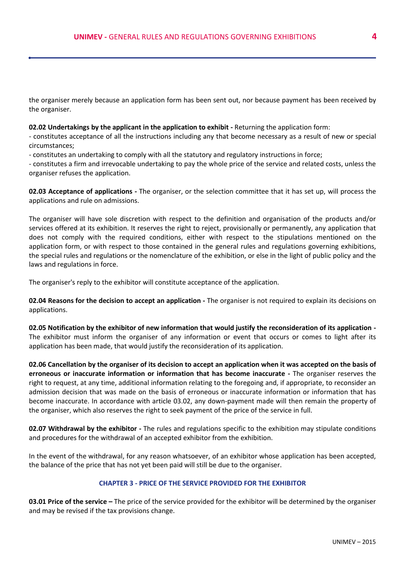the organiser merely because an application form has been sent out, nor because payment has been received by the organiser.

#### **02.02 Undertakings by the applicant in the application to exhibit -** Returning the application form:

- constitutes acceptance of all the instructions including any that become necessary as a result of new or special circumstances;

- constitutes an undertaking to comply with all the statutory and regulatory instructions in force;

- constitutes a firm and irrevocable undertaking to pay the whole price of the service and related costs, unless the organiser refuses the application.

**02.03 Acceptance of applications -** The organiser, or the selection committee that it has set up, will process the applications and rule on admissions.

The organiser will have sole discretion with respect to the definition and organisation of the products and/or services offered at its exhibition. It reserves the right to reject, provisionally or permanently, any application that does not comply with the required conditions, either with respect to the stipulations mentioned on the application form, or with respect to those contained in the general rules and regulations governing exhibitions, the special rules and regulations or the nomenclature of the exhibition, or else in the light of public policy and the laws and regulations in force.

The organiser's reply to the exhibitor will constitute acceptance of the application.

**02.04 Reasons for the decision to accept an application -** The organiser is not required to explain its decisions on applications.

**02.05 Notification by the exhibitor of new information that would justify the reconsideration of its application -** The exhibitor must inform the organiser of any information or event that occurs or comes to light after its application has been made, that would justify the reconsideration of its application.

**02.06 Cancellation by the organiser of its decision to accept an application when it was accepted on the basis of erroneous or inaccurate information or information that has become inaccurate -** The organiser reserves the right to request, at any time, additional information relating to the foregoing and, if appropriate, to reconsider an admission decision that was made on the basis of erroneous or inaccurate information or information that has become inaccurate. In accordance with article 03.02, any down-payment made will then remain the property of the organiser, which also reserves the right to seek payment of the price of the service in full.

**02.07 Withdrawal by the exhibitor -** The rules and regulations specific to the exhibition may stipulate conditions and procedures for the withdrawal of an accepted exhibitor from the exhibition.

In the event of the withdrawal, for any reason whatsoever, of an exhibitor whose application has been accepted, the balance of the price that has not yet been paid will still be due to the organiser.

### **CHAPTER 3 - PRICE OF THE SERVICE PROVIDED FOR THE EXHIBITOR**

**03.01 Price of the service –** The price of the service provided for the exhibitor will be determined by the organiser and may be revised if the tax provisions change.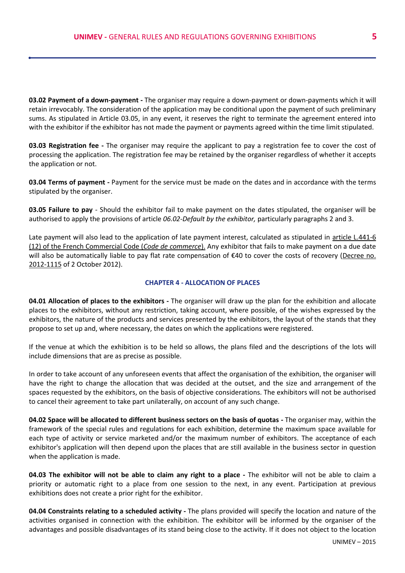**03.02 Payment of a down-payment -** The organiser may require a down-payment or down-payments which it will retain irrevocably. The consideration of the application may be conditional upon the payment of such preliminary sums. As stipulated in Article 03.05, in any event, it reserves the right to terminate the agreement entered into with the exhibitor if the exhibitor has not made the payment or payments agreed within the time limit stipulated.

**03.03 Registration fee -** The organiser may require the applicant to pay a registration fee to cover the cost of processing the application. The registration fee may be retained by the organiser regardless of whether it accepts the application or not.

**03.04 Terms of payment -** Payment for the service must be made on the dates and in accordance with the terms stipulated by the organiser.

**03.05 Failure to pay** - Should the exhibitor fail to make payment on the dates stipulated, the organiser will be authorised to apply the provisions of article *06.02-Default by the exhibitor,* particularly paragraphs 2 and 3.

Late payment will also lead to the application of late payment interest, calculated as stipulated in article L.441-6 (12) of the French Commercial Code (*Code de commerce*). Any exhibitor that fails to make payment on a due date will also be automatically liable to pay flat rate compensation of €40 to cover the costs of recovery [\(Decree no.](http://www.legifrance.gouv.fr/affichTexte.do?cidTexte=JORFTEXT000026453427&dateTexte=&categorieLien=id)  [2012-1115](http://www.legifrance.gouv.fr/affichTexte.do?cidTexte=JORFTEXT000026453427&dateTexte=&categorieLien=id) of 2 October 2012).

#### **CHAPTER 4 - ALLOCATION OF PLACES**

**04.01 Allocation of places to the exhibitors -** The organiser will draw up the plan for the exhibition and allocate places to the exhibitors, without any restriction, taking account, where possible, of the wishes expressed by the exhibitors, the nature of the products and services presented by the exhibitors, the layout of the stands that they propose to set up and, where necessary, the dates on which the applications were registered.

If the venue at which the exhibition is to be held so allows, the plans filed and the descriptions of the lots will include dimensions that are as precise as possible.

In order to take account of any unforeseen events that affect the organisation of the exhibition, the organiser will have the right to change the allocation that was decided at the outset, and the size and arrangement of the spaces requested by the exhibitors, on the basis of objective considerations. The exhibitors will not be authorised to cancel their agreement to take part unilaterally, on account of any such change.

**04.02 Space will be allocated to different business sectors on the basis of quotas -** The organiser may, within the framework of the special rules and regulations for each exhibition, determine the maximum space available for each type of activity or service marketed and/or the maximum number of exhibitors. The acceptance of each exhibitor's application will then depend upon the places that are still available in the business sector in question when the application is made.

**04.03 The exhibitor will not be able to claim any right to a place -** The exhibitor will not be able to claim a priority or automatic right to a place from one session to the next, in any event. Participation at previous exhibitions does not create a prior right for the exhibitor.

**04.04 Constraints relating to a scheduled activity -** The plans provided will specify the location and nature of the activities organised in connection with the exhibition. The exhibitor will be informed by the organiser of the advantages and possible disadvantages of its stand being close to the activity. If it does not object to the location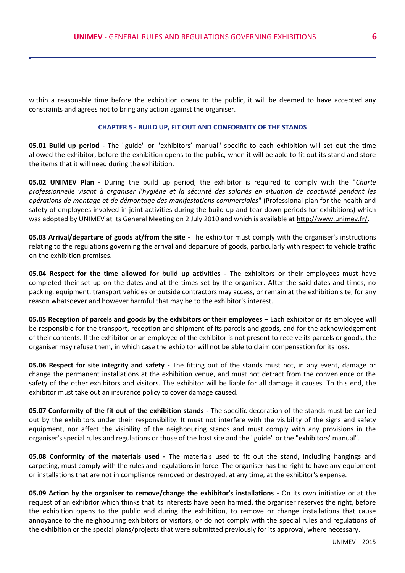within a reasonable time before the exhibition opens to the public, it will be deemed to have accepted any constraints and agrees not to bring any action against the organiser.

#### **CHAPTER 5 - BUILD UP, FIT OUT AND CONFORMITY OF THE STANDS**

**05.01 Build up period -** The "guide" or "exhibitors' manual" specific to each exhibition will set out the time allowed the exhibitor, before the exhibition opens to the public, when it will be able to fit out its stand and store the items that it will need during the exhibition.

**05.02 UNIMEV Plan -** During the build up period, the exhibitor is required to comply with the "*Charte professionnelle visant à organiser l'hygiène et la sécurité des salariés en situation de coactivité pendant les opérations de montage et de démontage des manifestations commerciales*" (Professional plan for the health and safety of employees involved in joint activities during the build up and tear down periods for exhibitions) which was adopted by UNIMEV at its General Meeting on 2 July 2010 and which is available at [http://www.unimev.fr/.](http://www.unimev.fr/)

**05.03 Arrival/departure of goods at/from the site -** The exhibitor must comply with the organiser's instructions relating to the regulations governing the arrival and departure of goods, particularly with respect to vehicle traffic on the exhibition premises.

**05.04 Respect for the time allowed for build up activities -** The exhibitors or their employees must have completed their set up on the dates and at the times set by the organiser. After the said dates and times, no packing, equipment, transport vehicles or outside contractors may access, or remain at the exhibition site, for any reason whatsoever and however harmful that may be to the exhibitor's interest.

**05.05 Reception of parcels and goods by the exhibitors or their employees – Each exhibitor or its employee will** be responsible for the transport, reception and shipment of its parcels and goods, and for the acknowledgement of their contents. If the exhibitor or an employee of the exhibitor is not present to receive its parcels or goods, the organiser may refuse them, in which case the exhibitor will not be able to claim compensation for its loss.

**05.06 Respect for site integrity and safety -** The fitting out of the stands must not, in any event, damage or change the permanent installations at the exhibition venue, and must not detract from the convenience or the safety of the other exhibitors and visitors. The exhibitor will be liable for all damage it causes. To this end, the exhibitor must take out an insurance policy to cover damage caused.

**05.07 Conformity of the fit out of the exhibition stands -** The specific decoration of the stands must be carried out by the exhibitors under their responsibility. It must not interfere with the visibility of the signs and safety equipment, nor affect the visibility of the neighbouring stands and must comply with any provisions in the organiser's special rules and regulations or those of the host site and the "guide" or the "exhibitors' manual".

**05.08 Conformity of the materials used -** The materials used to fit out the stand, including hangings and carpeting, must comply with the rules and regulations in force. The organiser has the right to have any equipment or installations that are not in compliance removed or destroyed, at any time, at the exhibitor's expense.

**05.09 Action by the organiser to remove/change the exhibitor's installations -** On its own initiative or at the request of an exhibitor which thinks that its interests have been harmed, the organiser reserves the right, before the exhibition opens to the public and during the exhibition, to remove or change installations that cause annoyance to the neighbouring exhibitors or visitors, or do not comply with the special rules and regulations of the exhibition or the special plans/projects that were submitted previously for its approval, where necessary.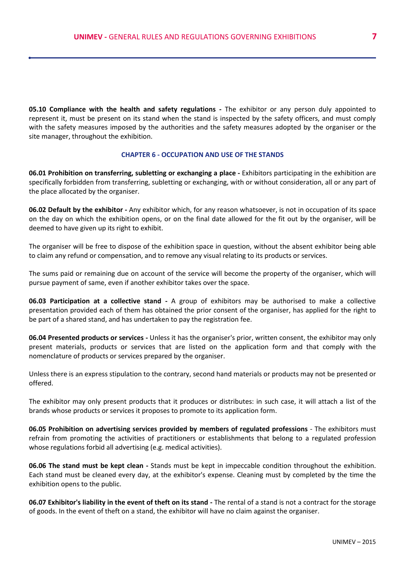**05.10 Compliance with the health and safety regulations -** The exhibitor or any person duly appointed to represent it, must be present on its stand when the stand is inspected by the safety officers, and must comply with the safety measures imposed by the authorities and the safety measures adopted by the organiser or the site manager, throughout the exhibition.

#### **CHAPTER 6 - OCCUPATION AND USE OF THE STANDS**

**06.01 Prohibition on transferring, subletting or exchanging a place -** Exhibitors participating in the exhibition are specifically forbidden from transferring, subletting or exchanging, with or without consideration, all or any part of the place allocated by the organiser.

**06.02 Default by the exhibitor -** Any exhibitor which, for any reason whatsoever, is not in occupation of its space on the day on which the exhibition opens, or on the final date allowed for the fit out by the organiser, will be deemed to have given up its right to exhibit.

The organiser will be free to dispose of the exhibition space in question, without the absent exhibitor being able to claim any refund or compensation, and to remove any visual relating to its products or services.

The sums paid or remaining due on account of the service will become the property of the organiser, which will pursue payment of same, even if another exhibitor takes over the space.

**06.03 Participation at a collective stand -** A group of exhibitors may be authorised to make a collective presentation provided each of them has obtained the prior consent of the organiser, has applied for the right to be part of a shared stand, and has undertaken to pay the registration fee.

**06.04 Presented products or services -** Unless it has the organiser's prior, written consent, the exhibitor may only present materials, products or services that are listed on the application form and that comply with the nomenclature of products or services prepared by the organiser.

Unless there is an express stipulation to the contrary, second hand materials or products may not be presented or offered.

The exhibitor may only present products that it produces or distributes: in such case, it will attach a list of the brands whose products or services it proposes to promote to its application form.

**06.05 Prohibition on advertising services provided by members of regulated professions** - The exhibitors must refrain from promoting the activities of practitioners or establishments that belong to a regulated profession whose regulations forbid all advertising (e.g. medical activities).

**06.06 The stand must be kept clean -** Stands must be kept in impeccable condition throughout the exhibition. Each stand must be cleaned every day, at the exhibitor's expense. Cleaning must by completed by the time the exhibition opens to the public.

**06.07 Exhibitor's liability in the event of theft on its stand -** The rental of a stand is not a contract for the storage of goods. In the event of theft on a stand, the exhibitor will have no claim against the organiser.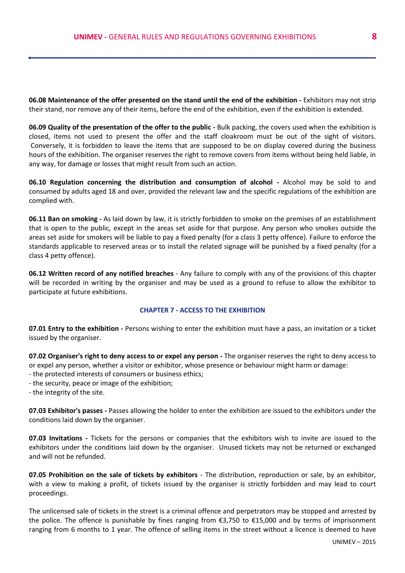**06.08 Maintenance of the offer presented on the stand until the end of the exhibition -** Exhibitors may not strip their stand, nor remove any of their items, before the end of the exhibition, even if the exhibition is extended.

**06.09 Quality of the presentation of the offer to the public -** Bulk packing, the covers used when the exhibition is closed, items not used to present the offer and the staff cloakroom must be out of the sight of visitors. Conversely, it is forbidden to leave the items that are supposed to be on display covered during the business hours of the exhibition. The organiser reserves the right to remove covers from items without being held liable, in any way, for damage or losses that might result from such an action.

**06.10 Regulation concerning the distribution and consumption of alcohol -** Alcohol may be sold to and consumed by adults aged 18 and over, provided the relevant law and the specific regulations of the exhibition are complied with.

**06.11 Ban on smoking -** As laid down by law, it is strictly forbidden to smoke on the premises of an establishment that is open to the public, except in the areas set aside for that purpose. Any person who smokes outside the areas set aside for smokers will be liable to pay a fixed penalty (for a class 3 petty offence). Failure to enforce the standards applicable to reserved areas or to install the related signage will be punished by a fixed penalty (for a class 4 petty offence).

**06.12 Written record of any notified breaches** - Any failure to comply with any of the provisions of this chapter will be recorded in writing by the organiser and may be used as a ground to refuse to allow the exhibitor to participate at future exhibitions.

### **CHAPTER 7 - ACCESS TO THE EXHIBITION**

**07.01 Entry to the exhibition -** Persons wishing to enter the exhibition must have a pass, an invitation or a ticket issued by the organiser.

**07.02 Organiser's right to deny access to or expel any person -** The organiser reserves the right to deny access to or expel any person, whether a visitor or exhibitor, whose presence or behaviour might harm or damage:

- the protected interests of consumers or business ethics;
- the security, peace or image of the exhibition;

- the integrity of the site.

**07.03 Exhibitor's passes -** Passes allowing the holder to enter the exhibition are issued to the exhibitors under the conditions laid down by the organiser.

**07.03 Invitations -** Tickets for the persons or companies that the exhibitors wish to invite are issued to the exhibitors under the conditions laid down by the organiser. Unused tickets may not be returned or exchanged and will not be refunded.

**07.05 Prohibition on the sale of tickets by exhibitors** - The distribution, reproduction or sale, by an exhibitor, with a view to making a profit, of tickets issued by the organiser is strictly forbidden and may lead to court proceedings.

The unlicensed sale of tickets in the street is a criminal offence and perpetrators may be stopped and arrested by the police. The offence is punishable by fines ranging from €3,750 to €15,000 and by terms of imprisonment ranging from 6 months to 1 year. The offence of selling items in the street without a licence is deemed to have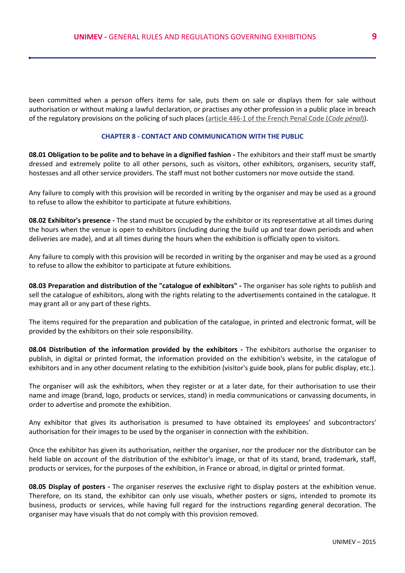been committed when a person offers items for sale, puts them on sale or displays them for sale without authorisation or without making a lawful declaration, or practises any other profession in a public place in breach of the regulatory provisions on the policing of such places [\(article 446-1 of the French Penal Code \(](http://www.legifrance.gouv.fr/affichCode.do;jsessionid=FA23730E22E54A289B0C7D1A9F5862A7.tpdila18v_2?idSectionTA=LEGISCTA000023715331&cidTexte=LEGITEXT000006070719&dateTexte=20150312)*Code pénal*)).

#### **CHAPTER 8 - CONTACT AND COMMUNICATION WITH THE PUBLIC**

**08.01 Obligation to be polite and to behave in a dignified fashion -** The exhibitors and their staff must be smartly dressed and extremely polite to all other persons, such as visitors, other exhibitors, organisers, security staff, hostesses and all other service providers. The staff must not bother customers nor move outside the stand.

Any failure to comply with this provision will be recorded in writing by the organiser and may be used as a ground to refuse to allow the exhibitor to participate at future exhibitions.

**08.02 Exhibitor's presence -** The stand must be occupied by the exhibitor or its representative at all times during the hours when the venue is open to exhibitors (including during the build up and tear down periods and when deliveries are made), and at all times during the hours when the exhibition is officially open to visitors.

Any failure to comply with this provision will be recorded in writing by the organiser and may be used as a ground to refuse to allow the exhibitor to participate at future exhibitions.

**08.03 Preparation and distribution of the "catalogue of exhibitors" -** The organiser has sole rights to publish and sell the catalogue of exhibitors, along with the rights relating to the advertisements contained in the catalogue. It may grant all or any part of these rights.

The items required for the preparation and publication of the catalogue, in printed and electronic format, will be provided by the exhibitors on their sole responsibility.

**08.04 Distribution of the information provided by the exhibitors -** The exhibitors authorise the organiser to publish, in digital or printed format, the information provided on the exhibition's website, in the catalogue of exhibitors and in any other document relating to the exhibition (visitor's guide book, plans for public display, etc.).

The organiser will ask the exhibitors, when they register or at a later date, for their authorisation to use their name and image (brand, logo, products or services, stand) in media communications or canvassing documents, in order to advertise and promote the exhibition.

Any exhibitor that gives its authorisation is presumed to have obtained its employees' and subcontractors' authorisation for their images to be used by the organiser in connection with the exhibition.

Once the exhibitor has given its authorisation, neither the organiser, nor the producer nor the distributor can be held liable on account of the distribution of the exhibitor's image, or that of its stand, brand, trademark, staff, products or services, for the purposes of the exhibition, in France or abroad, in digital or printed format.

**08.05 Display of posters -** The organiser reserves the exclusive right to display posters at the exhibition venue. Therefore, on its stand, the exhibitor can only use visuals, whether posters or signs, intended to promote its business, products or services, while having full regard for the instructions regarding general decoration. The organiser may have visuals that do not comply with this provision removed.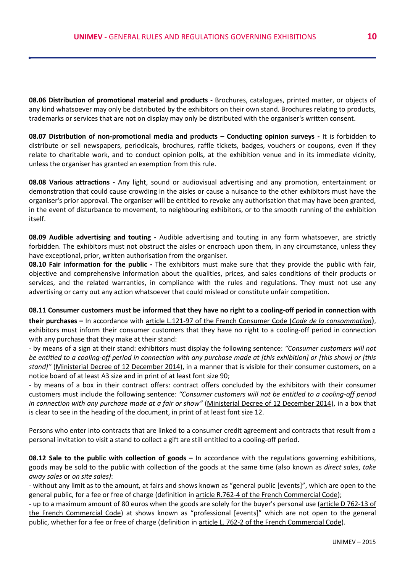**08.06 Distribution of promotional material and products -** Brochures, catalogues, printed matter, or objects of any kind whatsoever may only be distributed by the exhibitors on their own stand. Brochures relating to products, trademarks or services that are not on display may only be distributed with the organiser's written consent.

**08.07 Distribution of non-promotional media and products – Conducting opinion surveys -** It is forbidden to distribute or sell newspapers, periodicals, brochures, raffle tickets, badges, vouchers or coupons, even if they relate to charitable work, and to conduct opinion polls, at the exhibition venue and in its immediate vicinity, unless the organiser has granted an exemption from this rule.

**08.08 Various attractions -** Any light, sound or audiovisual advertising and any promotion, entertainment or demonstration that could cause crowding in the aisles or cause a nuisance to the other exhibitors must have the organiser's prior approval. The organiser will be entitled to revoke any authorisation that may have been granted, in the event of disturbance to movement, to neighbouring exhibitors, or to the smooth running of the exhibition itself.

**08.09 Audible advertising and touting -** Audible advertising and touting in any form whatsoever, are strictly forbidden. The exhibitors must not obstruct the aisles or encroach upon them, in any circumstance, unless they have exceptional, prior, written authorisation from the organiser.

**08.10 Fair information for the public -** The exhibitors must make sure that they provide the public with fair, objective and comprehensive information about the qualities, prices, and sales conditions of their products or services, and the related warranties, in compliance with the rules and regulations. They must not use any advertising or carry out any action whatsoever that could mislead or constitute unfair competition.

**08.11 Consumer customers must be informed that they have no right to a cooling-off period in connection with their purchases –** In accordance with [article L.121-97 of the French Consumer Code \(](http://www.legifrance.gouv.fr/affichCode.do;jsessionid=CCF23C77E3C26E043E5D1D53D1F5B264.tpdila21v_2?idSectionTA=LEGISCTA000028741119&cidTexte=LEGITEXT000006069565&dateTexte=20150223)*Code de la consommation*), exhibitors must inform their consumer customers that they have no right to a cooling-off period in connection with any purchase that they make at their stand:

- by means of a sign at their stand: exhibitors must display the following sentence: *"Consumer customers will not be entitled to a cooling-off period in connection with any purchase made at [this exhibition] or [this show] or [this stand]"* (Ministerial Decree of 12 December 2014), in a manner that is visible for their consumer customers, on a notice board of at least A3 size and in print of at least font size 90;

- by means of a box in their contract offers: contract offers concluded by the exhibitors with their consumer customers must include the following sentence: *"Consumer customers will not be entitled to a cooling-off period in connection with any purchase made at a fair or show"* (Ministerial Decree of 12 December 2014), in a box that is clear to see in the heading of the document, in print of at least font size 12.

Persons who enter into contracts that are linked to a consumer credit agreement and contracts that result from a personal invitation to visit a stand to collect a gift are still entitled to a cooling-off period.

**08.12 Sale to the public with collection of goods –** In accordance with the regulations governing exhibitions, goods may be sold to the public with collection of the goods at the same time (also known as *direct sales*, *take away sales* or *on site sales)*:

- without any limit as to the amount, at fairs and shows known as "general public [events]", which are open to the general public, for a fee or free of charge (definition in [article R.762-4 of the French Commercial Code\)](http://www.legifrance.gouv.fr/affichCode.do;jsessionid=D1B5C724E7817D15322F419B546662C9.tpdjo01v_1?idSectionTA=LEGISCTA000006146303&cidTexte=LEGITEXT000005634379&dateTexte=20140707);

- up to a maximum amount of 80 euros when the goods are solely for the buyer's personal use [\(article D 762-13](http://www.legifrance.gouv.fr/affichCode.do;jsessionid=D1B5C724E7817D15322F419B546662C9.tpdjo01v_1?idSectionTA=LEGISCTA000006146303&cidTexte=LEGITEXT000005634379&dateTexte=20140707) of the French Commercial Code) at shows known as "professional [events]" which are not open to the general public, whether for a fee or free of charge (definition in [article L. 762-2 of the French Commercial Code\).](http://www.legifrance.gouv.fr/affichCode.do;jsessionid=D1B5C724E7817D15322F419B546662C9.tpdjo01v_1?idSectionTA=LEGISCTA000006146142&cidTexte=LEGITEXT000005634379&dateTexte=20140707)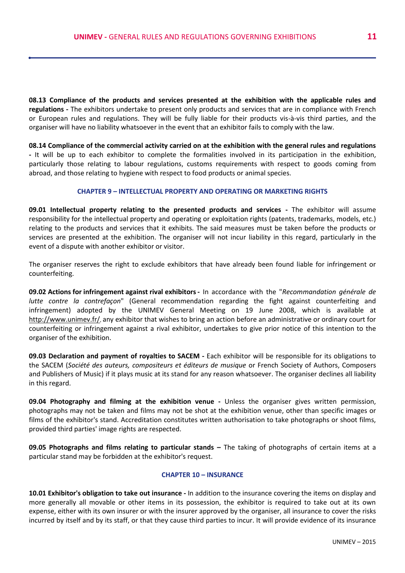**08.13 Compliance of the products and services presented at the exhibition with the applicable rules and regulations -** The exhibitors undertake to present only products and services that are in compliance with French or European rules and regulations. They will be fully liable for their products vis-à-vis third parties, and the organiser will have no liability whatsoever in the event that an exhibitor fails to comply with the law.

**08.14 Compliance of the commercial activity carried on at the exhibition with the general rules and regulations -** It will be up to each exhibitor to complete the formalities involved in its participation in the exhibition, particularly those relating to labour regulations, customs requirements with respect to goods coming from abroad, and those relating to hygiene with respect to food products or animal species.

### **CHAPTER 9 – INTELLECTUAL PROPERTY AND OPERATING OR MARKETING RIGHTS**

**09.01 Intellectual property relating to the presented products and services -** The exhibitor will assume responsibility for the intellectual property and operating or exploitation rights (patents, trademarks, models, etc.) relating to the products and services that it exhibits. The said measures must be taken before the products or services are presented at the exhibition. The organiser will not incur liability in this regard, particularly in the event of a dispute with another exhibitor or visitor.

The organiser reserves the right to exclude exhibitors that have already been found liable for infringement or counterfeiting.

**09.02 Actions for infringement against rival exhibitors-** In accordance with the "*Recommandation générale de lutte contre la contrefaçon*" (General recommendation regarding the fight against counterfeiting and infringement) adopted by the UNIMEV General Meeting on 19 June 2008, which is available at <http://www.unimev.fr/>, any exhibitor that wishes to bring an action before an administrative or ordinary court for counterfeiting or infringement against a rival exhibitor, undertakes to give prior notice of this intention to the organiser of the exhibition.

**09.03 Declaration and payment of royalties to SACEM -** Each exhibitor will be responsible for its obligations to the SACEM (*Société des auteurs, compositeurs et éditeurs de musique* or French Society of Authors, Composers and Publishers of Music) if it plays music at its stand for any reason whatsoever. The organiser declines all liability in this regard.

**09.04 Photography and filming at the exhibition venue -** Unless the organiser gives written permission, photographs may not be taken and films may not be shot at the exhibition venue, other than specific images or films of the exhibitor's stand. Accreditation constitutes written authorisation to take photographs or shoot films, provided third parties' image rights are respected.

**09.05 Photographs and films relating to particular stands – The taking of photographs of certain items at a** particular stand may be forbidden at the exhibitor's request.

## **CHAPTER 10 – INSURANCE**

**10.01 Exhibitor's obligation to take out insurance -** In addition to the insurance covering the items on display and more generally all movable or other items in its possession, the exhibitor is required to take out at its own expense, either with its own insurer or with the insurer approved by the organiser, all insurance to cover the risks incurred by itself and by its staff, or that they cause third parties to incur. It will provide evidence of its insurance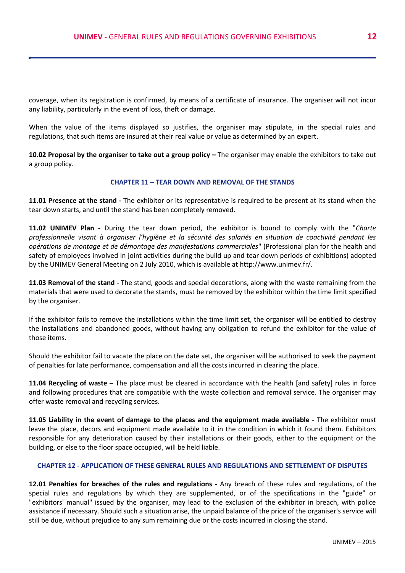coverage, when its registration is confirmed, by means of a certificate of insurance. The organiser will not incur any liability, particularly in the event of loss, theft or damage.

When the value of the items displayed so justifies, the organiser may stipulate, in the special rules and regulations, that such items are insured at their real value or value as determined by an expert.

10.02 Proposal by the organiser to take out a group policy – The organiser may enable the exhibitors to take out a group policy.

#### **CHAPTER 11 – TEAR DOWN AND REMOVAL OF THE STANDS**

**11.01 Presence at the stand -** The exhibitor or its representative is required to be present at its stand when the tear down starts, and until the stand has been completely removed.

**11.02 UNIMEV Plan -** During the tear down period, the exhibitor is bound to comply with the "*Charte professionnelle visant à organiser l'hygiène et la sécurité des salariés en situation de coactivité pendant les opérations de montage et de démontage des manifestations commerciales*" (Professional plan for the health and safety of employees involved in joint activities during the build up and tear down periods of exhibitions) adopted by the UNIMEV General Meeting on 2 July 2010, which is available a[t http://www.unimev.fr/.](http://www.unimev.fr/)

**11.03 Removal of the stand -** The stand, goods and special decorations, along with the waste remaining from the materials that were used to decorate the stands, must be removed by the exhibitor within the time limit specified by the organiser.

If the exhibitor fails to remove the installations within the time limit set, the organiser will be entitled to destroy the installations and abandoned goods, without having any obligation to refund the exhibitor for the value of those items.

Should the exhibitor fail to vacate the place on the date set, the organiser will be authorised to seek the payment of penalties for late performance, compensation and all the costs incurred in clearing the place.

**11.04 Recycling of waste –** The place must be cleared in accordance with the health [and safety] rules in force and following procedures that are compatible with the waste collection and removal service. The organiser may offer waste removal and recycling services.

**11.05 Liability in the event of damage to the places and the equipment made available -** The exhibitor must leave the place, decors and equipment made available to it in the condition in which it found them. Exhibitors responsible for any deterioration caused by their installations or their goods, either to the equipment or the building, or else to the floor space occupied, will be held liable.

#### **CHAPTER 12 - APPLICATION OF THESE GENERAL RULES AND REGULATIONS AND SETTLEMENT OF DISPUTES**

**12.01 Penalties for breaches of the rules and regulations -** Any breach of these rules and regulations, of the special rules and regulations by which they are supplemented, or of the specifications in the "guide" or "exhibitors' manual" issued by the organiser, may lead to the exclusion of the exhibitor in breach, with police assistance if necessary. Should such a situation arise, the unpaid balance of the price of the organiser's service will still be due, without prejudice to any sum remaining due or the costs incurred in closing the stand.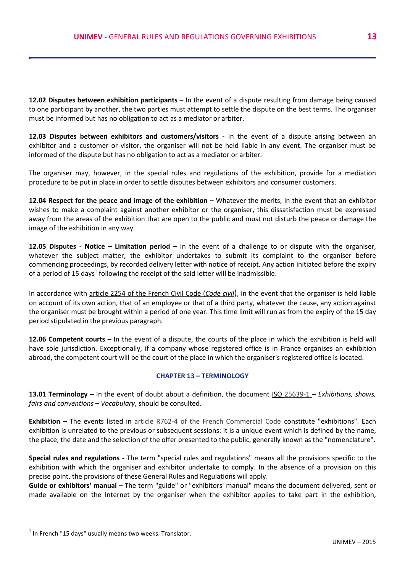**12.02 Disputes between exhibition participants –** In the event of a dispute resulting from damage being caused to one participant by another, the two parties must attempt to settle the dispute on the best terms. The organiser must be informed but has no obligation to act as a mediator or arbiter.

**12.03 Disputes between exhibitors and customers/visitors -** In the event of a dispute arising between an exhibitor and a customer or visitor, the organiser will not be held liable in any event. The organiser must be informed of the dispute but has no obligation to act as a mediator or arbiter.

The organiser may, however, in the special rules and regulations of the exhibition, provide for a mediation procedure to be put in place in order to settle disputes between exhibitors and consumer customers.

**12.04 Respect for the peace and image of the exhibition –** Whatever the merits, in the event that an exhibitor wishes to make a complaint against another exhibitor or the organiser, this dissatisfaction must be expressed away from the areas of the exhibition that are open to the public and must not disturb the peace or damage the image of the exhibition in any way.

**12.05 Disputes - Notice – Limitation period –** In the event of a challenge to or dispute with the organiser, whatever the subject matter, the exhibitor undertakes to submit its complaint to the organiser before commencing proceedings, by recorded delivery letter with notice of receipt. Any action initiated before the expiry of a period of 15 days<sup>1</sup> following the receipt of the said letter will be inadmissible.

In accordance with [article 2254 of the French Civil Code \(](http://www.legifrance.gouv.fr/affichCode.do;jsessionid=BB69878117617214C9DFC6F9052997C9.tpdila23v_2?idSectionTA=LEGISCTA000019017065&cidTexte=LEGITEXT000006070721&dateTexte=20150313)*Code civil*), in the event that the organiser is held liable on account of its own action, that of an employee or that of a third party, whatever the cause, any action against the organiser must be brought within a period of one year. This time limit will run as from the expiry of the 15 day period stipulated in the previous paragraph.

**12.06 Competent courts –** In the event of a dispute, the courts of the place in which the exhibition is held will have sole jurisdiction. Exceptionally, if a company whose registered office is in France organises an exhibition abroad, the competent court will be the court of the place in which the organiser's registered office is located.

### **CHAPTER 13 – TERMINOLOGY**

**13.01 Terminology** – In the event of doubt about a definition, the document ISO [25639-1](http://www.iso.org/iso/fr/catalogue_detail?csnumber=43909) – *Exhibitions, shows, fairs and conventions* – *Vocabulary*, should be consulted.

**Exhibition –** The events listed in [article R762-4 of the French Commercial Code](file:///C:/Users/Alex/Downloads/et%20disponible%20Ã %20lâadresse%20http:/www.unimev.fr/) constitute "exhibitions". Each exhibition is unrelated to the previous or subsequent sessions: it is a unique event which is defined by the name, the place, the date and the selection of the offer presented to the public, generally known as the "nomenclature".

**Special rules and regulations -** The term "special rules and regulations" means all the provisions specific to the exhibition with which the organiser and exhibitor undertake to comply. In the absence of a provision on this precise point, the provisions of these General Rules and Regulations will apply.

**Guide or exhibitors' manual –** The term "guide" or "exhibitors' manual" means the document delivered, sent or made available on the Internet by the organiser when the exhibitor applies to take part in the exhibition,

 $\overline{a}$ 

 $<sup>1</sup>$  In French "15 days" usually means two weeks. Translator.</sup>